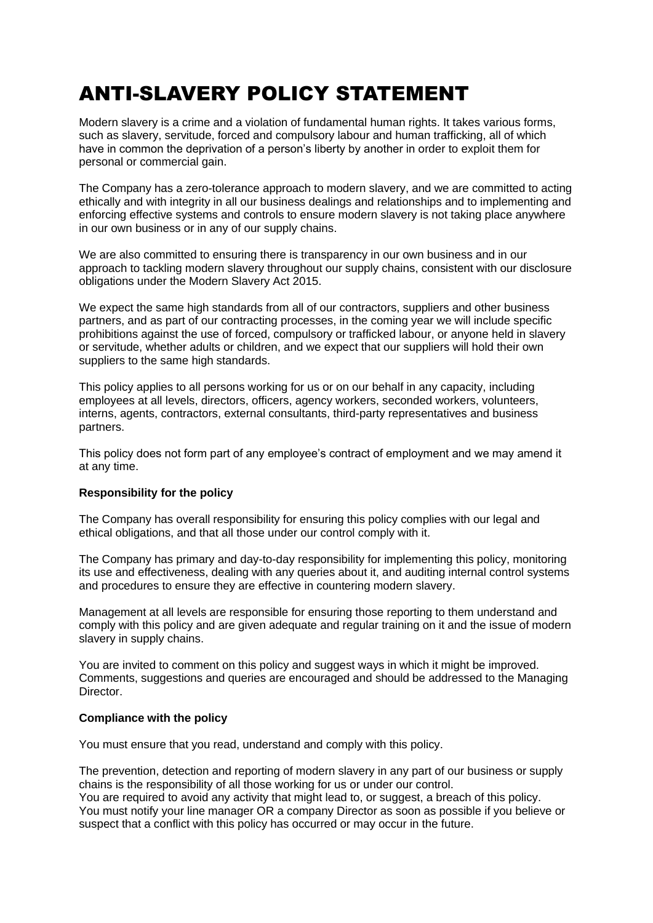# ANTI-SLAVERY POLICY STATEMENT

Modern slavery is a crime and a violation of fundamental human rights. It takes various forms, such as slavery, servitude, forced and compulsory labour and human trafficking, all of which have in common the deprivation of a person's liberty by another in order to exploit them for personal or commercial gain.

The Company has a zero-tolerance approach to modern slavery, and we are committed to acting ethically and with integrity in all our business dealings and relationships and to implementing and enforcing effective systems and controls to ensure modern slavery is not taking place anywhere in our own business or in any of our supply chains.

We are also committed to ensuring there is transparency in our own business and in our approach to tackling modern slavery throughout our supply chains, consistent with our disclosure obligations under the Modern Slavery Act 2015.

We expect the same high standards from all of our contractors, suppliers and other business partners, and as part of our contracting processes, in the coming year we will include specific prohibitions against the use of forced, compulsory or trafficked labour, or anyone held in slavery or servitude, whether adults or children, and we expect that our suppliers will hold their own suppliers to the same high standards.

This policy applies to all persons working for us or on our behalf in any capacity, including employees at all levels, directors, officers, agency workers, seconded workers, volunteers, interns, agents, contractors, external consultants, third-party representatives and business partners.

This policy does not form part of any employee's contract of employment and we may amend it at any time.

## **Responsibility for the policy**

The Company has overall responsibility for ensuring this policy complies with our legal and ethical obligations, and that all those under our control comply with it.

The Company has primary and day-to-day responsibility for implementing this policy, monitoring its use and effectiveness, dealing with any queries about it, and auditing internal control systems and procedures to ensure they are effective in countering modern slavery.

Management at all levels are responsible for ensuring those reporting to them understand and comply with this policy and are given adequate and regular training on it and the issue of modern slavery in supply chains.

You are invited to comment on this policy and suggest ways in which it might be improved. Comments, suggestions and queries are encouraged and should be addressed to the Managing **Director** 

## **Compliance with the policy**

You must ensure that you read, understand and comply with this policy.

The prevention, detection and reporting of modern slavery in any part of our business or supply chains is the responsibility of all those working for us or under our control.

You are required to avoid any activity that might lead to, or suggest, a breach of this policy. You must notify your line manager OR a company Director as soon as possible if you believe or suspect that a conflict with this policy has occurred or may occur in the future.